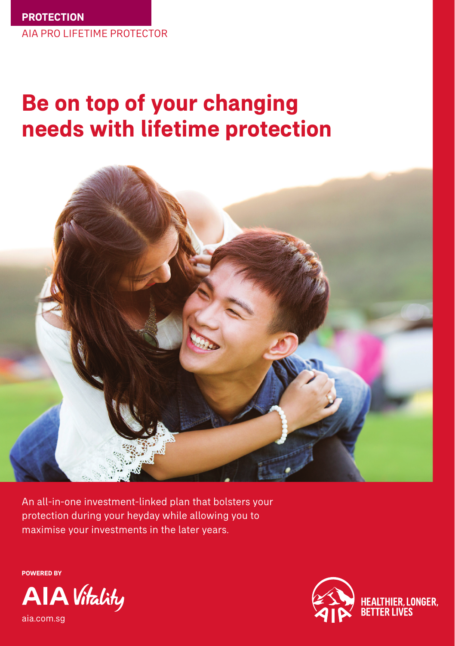# **Be on top of your changing needs with lifetime protection**



An all-in-one investment-linked plan that bolsters your protection during your heyday while allowing you to maximise your investments in the later years.

**POWERED BY**



aia.com.sg

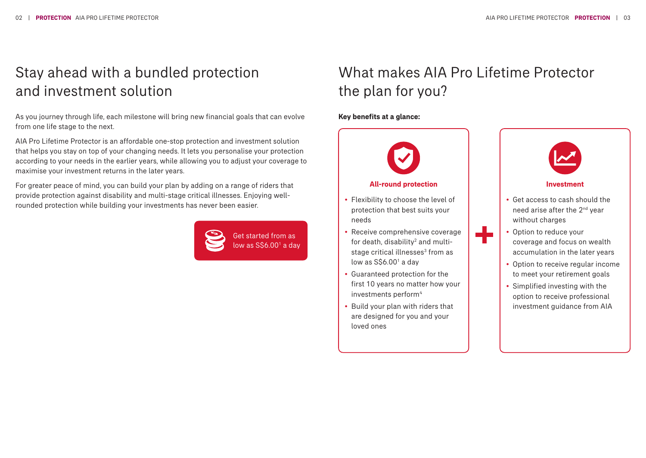## Stay ahead with a bundled protection and investment solution

As you journey through life, each milestone will bring new financial goals that can evolve from one life stage to the next.

AIA Pro Lifetime Protector is an affordable one-stop protection and investment solution that helps you stay on top of your changing needs. It lets you personalise your protection according to your needs in the earlier years, while allowing you to adjust your coverage to maximise your investment returns in the later years.

For greater peace of mind, you can build your plan by adding on a range of riders that provide protection against disability and multi-stage critical illnesses. Enjoying wellrounded protection while building your investments has never been easier.



### What makes AIA Pro Lifetime Protector the plan for you?

#### **Key benefits at a glance:**

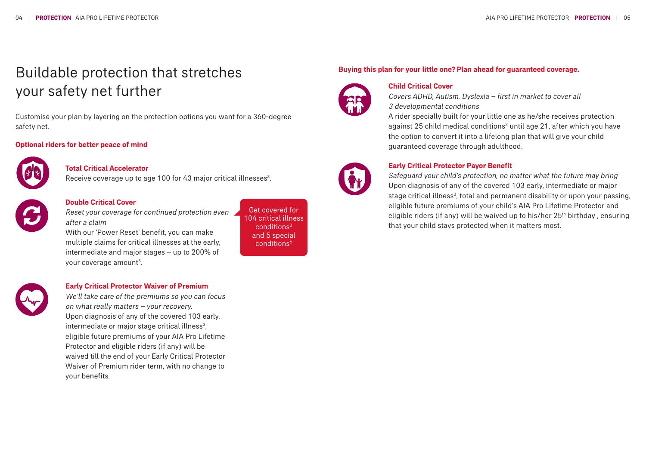# Buildable protection that stretches your safety net further

Customise your plan by layering on the protection options you want for a 360-degree safety net.

#### **Optional riders for better peace of mind**



#### **Total Critical Accelerator**

Receive coverage up to age 100 for 43 major critical illnesses<sup>3</sup>. .



#### **Double Critical Cover**

Reset your coverage for continued protection even after a claim

With our 'Power Reset' benefit, you can make multiple claims for critical illnesses at the early, intermediate and major stages – up to 200% of your coverage amount<sup>5</sup>.

#### Get covered for 104 critical illness conditions3 and 5 special conditions6

#### **Buying this plan for your little one? Plan ahead for guaranteed coverage.**



#### **Child Critical Cover**

Covers ADHD, Autism, Dyslexia – first in market to cover all 3 developmental conditions

A rider specially built for your little one as he/she receives protection against 25 child medical conditions<sup>3</sup> until age 21, after which you have the option to convert it into a lifelong plan that will give your child guaranteed coverage through adulthood.



#### **Early Critical Protector Payor Benefit**

Safeguard your child's protection, no matter what the future may bring Upon diagnosis of any of the covered 103 early, intermediate or major stage critical illness<sup>3</sup>, total and permanent disability or upon your passing, eligible future premiums of your child's AIA Pro Lifetime Protector and eligible riders (if any) will be waived up to his/her 25<sup>th</sup> birthday, ensuring that your child stays protected when it matters most.



#### **Early Critical Protector Waiver of Premium**

We'll take care of the premiums so you can focus on what really matters – your recovery. Upon diagnosis of any of the covered 103 early, intermediate or major stage critical illness<sup>3</sup>, eligible future premiums of your AIA Pro Lifetime Protector and eligible riders (if any) will be waived till the end of your Early Critical Protector Waiver of Premium rider term, with no change to your benefits.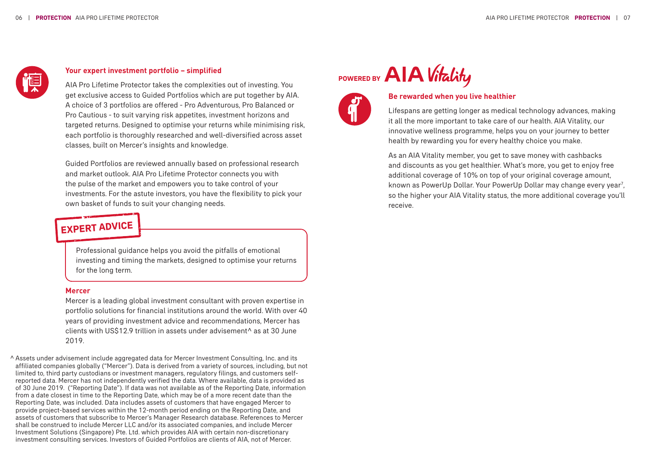

#### **Your expert investment portfolio – simplified**

AIA Pro Lifetime Protector takes the complexities out of investing. You get exclusive access to Guided Portfolios which are put together by AIA. A choice of 3 portfolios are offered - Pro Adventurous, Pro Balanced or Pro Cautious - to suit varying risk appetites, investment horizons and targeted returns. Designed to optimise your returns while minimising risk, each portfolio is thoroughly researched and well-diversified across asset classes, built on Mercer's insights and knowledge.

Guided Portfolios are reviewed annually based on professional research and market outlook. AIA Pro Lifetime Protector connects you with the pulse of the market and empowers you to take control of your investments. For the astute investors, you have the flexibility to pick your own basket of funds to suit your changing needs.

### **EXPERT ADVICE**

Professional guidance helps you avoid the pitfalls of emotional investing and timing the markets, designed to optimise your returns for the long term.

#### **Mercer**

Mercer is a leading global investment consultant with proven expertise in portfolio solutions for financial institutions around the world. With over 40 years of providing investment advice and recommendations, Mercer has clients with US\$12.9 trillion in assets under advisement^ as at 30 June 2019.

Assets under advisement include aggregated data for Mercer Investment Consulting, Inc. and its ^ affiliated companies globally ("Mercer"). Data is derived from a variety of sources, including, but not limited to, third party custodians or investment managers, regulatory filings, and customers selfreported data. Mercer has not independently verified the data. Where available, data is provided as of 30 June 2019. ("Reporting Date"). If data was not available as of the Reporting Date, information from a date closest in time to the Reporting Date, which may be of a more recent date than the Reporting Date, was included. Data includes assets of customers that have engaged Mercer to provide project-based services within the 12-month period ending on the Reporting Date, and assets of customers that subscribe to Mercer's Manager Research database. References to Mercer shall be construed to include Mercer LLC and/or its associated companies, and include Mercer Investment Solutions (Singapore) Pte. Ltd. which provides AIA with certain non-discretionary investment consulting services. Investors of Guided Portfolios are clients of AIA, not of Mercer.

### **AIA** Vitality **POWERED BY**



#### **Be rewarded when you live healthier**

Lifespans are getting longer as medical technology advances, making it all the more important to take care of our health. AIA Vitality, our innovative wellness programme, helps you on your journey to better health by rewarding you for every healthy choice you make.

As an AIA Vitality member, you get to save money with cashbacks and discounts as you get healthier. What's more, you get to enjoy free additional coverage of 10% on top of your original coverage amount, known as PowerUp Dollar. Your PowerUp Dollar may change every year<sup>7</sup>, so the higher your AIA Vitality status, the more additional coverage you'll receive.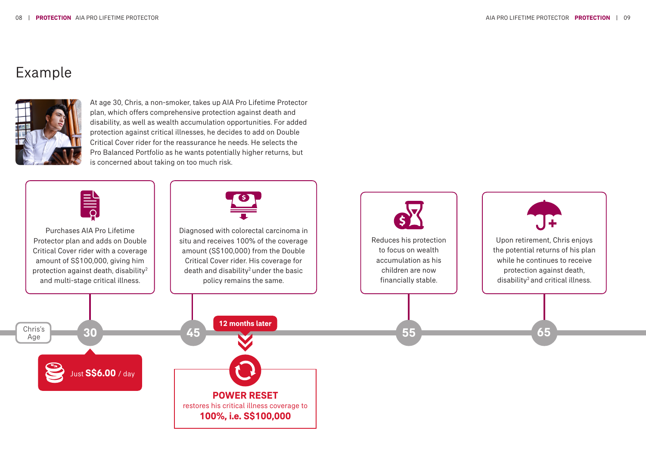### Example



At age 30, Chris, a non-smoker, takes up AIA Pro Lifetime Protector plan, which offers comprehensive protection against death and disability, as well as wealth accumulation opportunities. For added protection against critical illnesses, he decides to add on Double Critical Cover rider for the reassurance he needs. He selects the Pro Balanced Portfolio as he wants potentially higher returns, but is concerned about taking on too much risk.



Purchases AIA Pro Lifetime Protector plan and adds on Double Critical Cover rider with a coverage amount of S\$100,000, giving him protection against death, disability2 and multi-stage critical illness.



Diagnosed with colorectal carcinoma in situ and receives 100% of the coverage amount (S\$100,000) from the Double Critical Cover rider. His coverage for death and disability<sup>2</sup> under the basic policy remains the same.





Upon retirement, Chris enjoys the potential returns of his plan while he continues to receive protection against death, disability<sup>2</sup> and critical illness.

Age Just **S\$6.00** / day

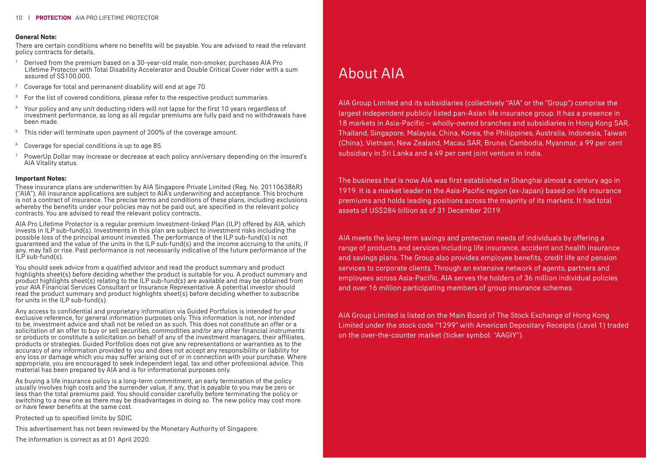#### **General Note:**

There are certain conditions where no benefits will be payable. You are advised to read the relevant policy contracts for details.

- <sup>1</sup> Derived from the premium based on a 30-year-old male, non-smoker, purchases AIA Pro Lifetime Protector with Total Disability Accelerator and Double Critical Cover rider with a sum assured of S\$100,000.
- $2^{\circ}$  Coverage for total and permanent disability will end at age 70.
- 3 For the list of covered conditions, please refer to the respective product summaries.
- 4 Your policy and any unit deducting riders will not lapse for the first 10 years regardless of investment performance, as long as all regular premiums are fully paid and no withdrawals have been made.
- <sup>5</sup> This rider will terminate upon payment of 200% of the coverage amount.
- 6 Coverage for special conditions is up to age 85.
- $\rm ^7$  PowerUp Dollar may increase or decrease at each policy anniversary depending on the insured's AIA Vitality status.

#### **Important Notes:**

These insurance plans are underwritten by AIA Singapore Private Limited (Reg. No. 201106386R) ("AIA"). All insurance applications are subject to AIA's underwriting and acceptance. This brochure is not a contract of insurance. The precise terms and conditions of these plans, including exclusions whereby the benefits under your policies may not be paid out, are specified in the relevant policy contracts. You are advised to read the relevant policy contracts.

AIA Pro Lifetime Protector is a regular premium Investment-linked Plan (ILP) offered by AIA, which invests in ILP sub-fund(s). Investments in this plan are subject to investment risks including the possible loss of the principal amount invested. The performance of the ILP sub-fund(s) is not guaranteed and the value of the units in the ILP sub-fund(s) and the income accruing to the units, if any, may fall or rise. Past performance is not necessarily indicative of the future performance of the  $ILP$  sub-fund(s).

You should seek advice from a qualified advisor and read the product summary and product highlights sheet(s) before deciding whether the product is suitable for you. A product summary and product highlights sheet(s) relating to the ILP sub-fund(s) are available and may be obtained from your AIA Financial Services Consultant or Insurance Representative. A potential investor should read the product summary and product highlights sheet(s) before deciding whether to subscribe for units in the ILP sub-fund(s).

Any access to confidential and proprietary information via Guided Portfolios is intended for your exclusive reference, for general information purposes only. This information is not, nor intended to be, investment advice and shall not be relied on as such. This does not constitute an offer or a solicitation of an offer to buy or sell securities, commodities and/or any other financial instruments or products or constitute a solicitation on behalf of any of the investment managers, their affiliates, products or strategies. Guided Portfolios does not give any representations or warranties as to the accuracy of any information provided to you and does not accept any responsibility or liability for any loss or damage which you may suffer arising out of or in connection with your purchase. Where appropriate, you are encouraged to seek independent legal, tax and other professional advice. This material has been prepared by AIA and is for informational purposes only.

As buying a life insurance policy is a long-term commitment, an early termination of the policy usually involves high costs and the surrender value, if any, that is payable to you may be zero or less than the total premiums paid. You should consider carefully before terminating the policy or switching to a new one as there may be disadvantages in doing so. The new policy may cost more or have fewer benefits at the same cost.

Protected up to specified limits by SDIC.

This advertisement has not been reviewed by the Monetary Authority of Singapore.

The information is correct as at 01 April 2020.

# About AIA

AIA Group Limited and its subsidiaries (collectively "AIA" or the "Group") comprise the largest independent publicly listed pan-Asian life insurance group. It has a presence in 18 markets in Asia-Pacific – wholly-owned branches and subsidiaries in Hong Kong SAR, Thailand, Singapore, Malaysia, China, Korea, the Philippines, Australia, Indonesia, Taiwan (China), Vietnam, New Zealand, Macau SAR, Brunei, Cambodia, Myanmar, a 99 per cent subsidiary in Sri Lanka and a 49 per cent joint venture in India.

The business that is now AIA was first established in Shanghai almost a century ago in 1919. It is a market leader in the Asia-Pacific region (ex-Japan) based on life insurance premiums and holds leading positions across the majority of its markets. It had total assets of US\$284 billion as of 31 December 2019.

AIA meets the long-term savings and protection needs of individuals by offering a range of products and services including life insurance, accident and health insurance and savings plans. The Group also provides employee benefits, credit life and pension services to corporate clients. Through an extensive network of agents, partners and employees across Asia-Pacific, AIA serves the holders of 36 million individual policies and over 16 million participating members of group insurance schemes.

AIA Group Limited is listed on the Main Board of The Stock Exchange of Hong Kong Limited under the stock code "1299" with American Depositary Receipts (Level 1) traded on the over-the-counter market (ticker symbol: "AAGIY").